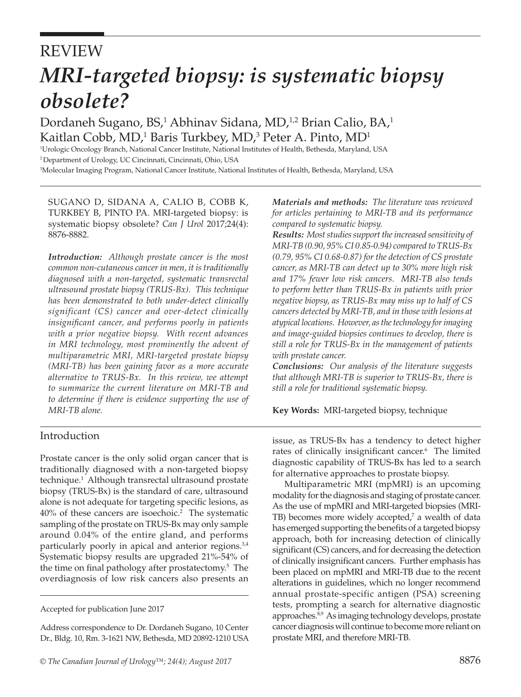# REVIEW *MRI-targeted biopsy: is systematic biopsy obsolete?*

Dordaneh Sugano, BS,<sup>1</sup> Abhinav Sidana, MD,<sup>1,2</sup> Brian Calio, BA,<sup>1</sup> Kaitlan Cobb, MD,<sup>1</sup> Baris Turkbey, MD,<sup>3</sup> Peter A. Pinto, MD<sup>1</sup><br>Higheric Orcology Branch National Cancer Institute National Institutes of Health Bethesda Maryland

<sup>1</sup>Urologic Oncology Branch, National Cancer Institute, National Institutes of Health, Bethesda, Maryland, USA 2 Department of Urology, UC Cincinnati, Cincinnati, Ohio, USA

3 Molecular Imaging Program, National Cancer Institute, National Institutes of Health, Bethesda, Maryland, USA

SUGANO D, SIDANA A, CALIO B, COBB K, TURKBEY B, PINTO PA. MRI-targeted biopsy: is systematic biopsy obsolete? *Can J Urol* 2017;24(4): 8876-8882.

*Introduction: Although prostate cancer is the most common non-cutaneous cancer in men, it is traditionally diagnosed with a non-targeted, systematic transrectal ultrasound prostate biopsy (TRUS-Bx). This technique has been demonstrated to both under-detect clinically significant (CS) cancer and over-detect clinically insignificant cancer, and performs poorly in patients with a prior negative biopsy. With recent advances in MRI technology, most prominently the advent of multiparametric MRI, MRI-targeted prostate biopsy (MRI-TB) has been gaining favor as a more accurate alternative to TRUS-Bx. In this review, we attempt to summarize the current literature on MRI-TB and to determine if there is evidence supporting the use of MRI-TB alone.*

## Introduction

Prostate cancer is the only solid organ cancer that is traditionally diagnosed with a non-targeted biopsy technique.1 Although transrectal ultrasound prostate biopsy (TRUS-Bx) is the standard of care, ultrasound alone is not adequate for targeting specific lesions, as  $40\%$  of these cancers are isoechoic.<sup>2</sup> The systematic sampling of the prostate on TRUS-Bx may only sample around 0.04% of the entire gland, and performs particularly poorly in apical and anterior regions.<sup>3,4</sup> Systematic biopsy results are upgraded 21%-54% of the time on final pathology after prostatectomy.5 The overdiagnosis of low risk cancers also presents an

*Materials and methods: The literature was reviewed for articles pertaining to MRI-TB and its performance compared to systematic biopsy.*

*Results: Most studies support the increased sensitivity of MRI-TB (0.90, 95% CI 0.85-0.94) compared to TRUS-Bx (0.79, 95% CI 0.68-0.87) for the detection of CS prostate cancer, as MRI-TB can detect up to 30% more high risk and 17% fewer low risk cancers. MRI-TB also tends to perform better than TRUS-Bx in patients with prior negative biopsy, as TRUS-Bx may miss up to half of CS cancers detected by MRI-TB, and in those with lesions at atypical locations. However, as the technology for imaging and image-guided biopsies continues to develop, there is still a role for TRUS-Bx in the management of patients with prostate cancer.*

*Conclusions: Our analysis of the literature suggests that although MRI-TB is superior to TRUS-Bx, there is still a role for traditional systematic biopsy.*

**Key Words:** MRI-targeted biopsy, technique

issue, as TRUS-Bx has a tendency to detect higher rates of clinically insignificant cancer.<sup>6</sup> The limited diagnostic capability of TRUS-Bx has led to a search for alternative approaches to prostate biopsy.

Multiparametric MRI (mpMRI) is an upcoming modality for the diagnosis and staging of prostate cancer. As the use of mpMRI and MRI-targeted biopsies (MRI-TB) becomes more widely accepted,<sup>7</sup> a wealth of data has emerged supporting the benefits of a targeted biopsy approach, both for increasing detection of clinically significant (CS) cancers, and for decreasing the detection of clinically insignificant cancers. Further emphasis has been placed on mpMRI and MRI-TB due to the recent alterations in guidelines, which no longer recommend annual prostate-specific antigen (PSA) screening tests, prompting a search for alternative diagnostic approaches.<sup>8,9</sup> As imaging technology develops, prostate cancer diagnosis will continue to become more reliant on prostate MRI, and therefore MRI-TB.

Accepted for publication June 2017

Address correspondence to Dr. Dordaneh Sugano, 10 Center Dr., Bldg. 10, Rm. 3-1621 NW, Bethesda, MD 20892-1210 USA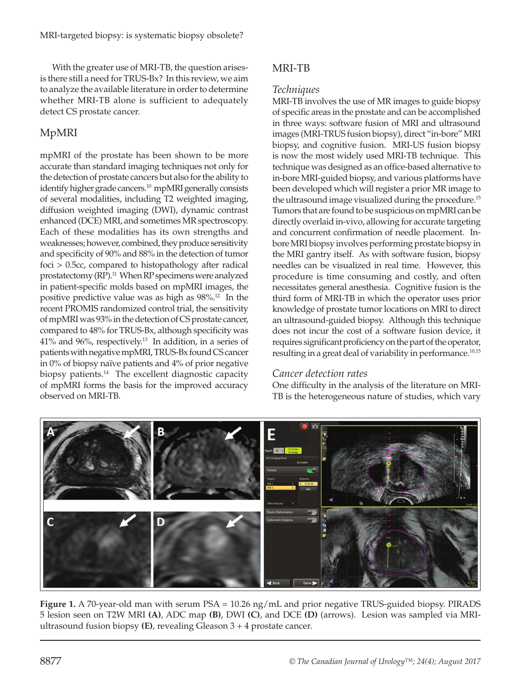With the greater use of MRI-TB, the question arisesis there still a need for TRUS-Bx? In this review, we aim to analyze the available literature in order to determine whether MRI-TB alone is sufficient to adequately detect CS prostate cancer.

# MpMRI

mpMRI of the prostate has been shown to be more accurate than standard imaging techniques not only for the detection of prostate cancers but also for the ability to identify higher grade cancers.<sup>10</sup> mpMRI generally consists of several modalities, including T2 weighted imaging, diffusion weighted imaging (DWI), dynamic contrast enhanced (DCE) MRI, and sometimes MR spectroscopy. Each of these modalities has its own strengths and weaknesses; however, combined, they produce sensitivity and specificity of 90% and 88% in the detection of tumor foci > 0.5cc, compared to histopathology after radical prostatectomy (RP).<sup>11</sup> When RP specimens were analyzed in patient-specific molds based on mpMRI images, the positive predictive value was as high as 98%.12 In the recent PROMIS randomized control trial, the sensitivity of mpMRI was 93% in the detection of CS prostate cancer, compared to 48% for TRUS-Bx, although specificity was  $41\%$  and  $96\%$ , respectively.<sup>13</sup> In addition, in a series of patients with negative mpMRI, TRUS-Bx found CS cancer in 0% of biopsy naïve patients and 4% of prior negative biopsy patients.<sup>14</sup> The excellent diagnostic capacity of mpMRI forms the basis for the improved accuracy observed on MRI-TB.

# MRI-TB

#### *Techniques*

MRI-TB involves the use of MR images to guide biopsy of specific areas in the prostate and can be accomplished in three ways: software fusion of MRI and ultrasound images (MRI-TRUS fusion biopsy), direct "in-bore" MRI biopsy, and cognitive fusion. MRI-US fusion biopsy is now the most widely used MRI-TB technique. This technique was designed as an office-based alternative to in-bore MRI-guided biopsy, and various platforms have been developed which will register a prior MR image to the ultrasound image visualized during the procedure.<sup>15</sup> Tumors that are found to be suspicious on mpMRI can be directly overlaid in-vivo, allowing for accurate targeting and concurrent confirmation of needle placement. Inbore MRI biopsy involves performing prostate biopsy in the MRI gantry itself. As with software fusion, biopsy needles can be visualized in real time. However, this procedure is time consuming and costly, and often necessitates general anesthesia. Cognitive fusion is the third form of MRI-TB in which the operator uses prior knowledge of prostate tumor locations on MRI to direct an ultrasound-guided biopsy. Although this technique does not incur the cost of a software fusion device, it requires significant proficiency on the part of the operator, resulting in a great deal of variability in performance.<sup>10,15</sup>

## *Cancer detection rates*

One difficulty in the analysis of the literature on MRI-TB is the heterogeneous nature of studies, which vary



**Figure 1.** A 70-year-old man with serum PSA = 10.26 ng/mL and prior negative TRUS-guided biopsy. PIRADS 5 lesion seen on T2W MRI **(A)**, ADC map **(B)**, DWI **(C)**, and DCE **(D)** (arrows). Lesion was sampled via MRIultrasound fusion biopsy **(E)**, revealing Gleason 3 + 4 prostate cancer.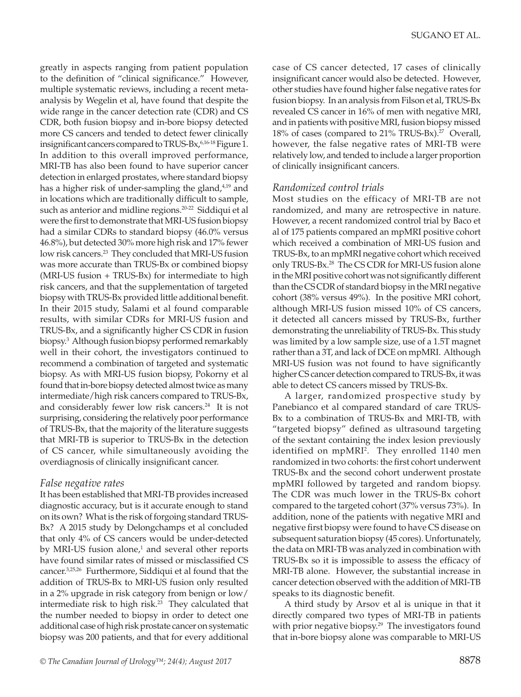greatly in aspects ranging from patient population to the definition of "clinical significance." However, multiple systematic reviews, including a recent metaanalysis by Wegelin et al, have found that despite the wide range in the cancer detection rate (CDR) and CS CDR, both fusion biopsy and in-bore biopsy detected more CS cancers and tended to detect fewer clinically insignificant cancers compared to TRUS-Bx,  $6,16-18$  Figure 1. In addition to this overall improved performance, MRI-TB has also been found to have superior cancer detection in enlarged prostates, where standard biopsy has a higher risk of under-sampling the gland,<sup>4,19</sup> and in locations which are traditionally difficult to sample, such as anterior and midline regions.<sup>20-22</sup> Siddiqui et al were the first to demonstrate that MRI-US fusion biopsy had a similar CDRs to standard biopsy (46.0% versus 46.8%), but detected 30% more high risk and 17% fewer low risk cancers.<sup>23</sup> They concluded that MRI-US fusion was more accurate than TRUS-Bx or combined biopsy (MRI-US fusion + TRUS-Bx) for intermediate to high risk cancers, and that the supplementation of targeted biopsy with TRUS-Bx provided little additional benefit. In their 2015 study, Salami et al found comparable results, with similar CDRs for MRI-US fusion and TRUS-Bx, and a significantly higher CS CDR in fusion biopsy.3 Although fusion biopsy performed remarkably well in their cohort, the investigators continued to recommend a combination of targeted and systematic biopsy. As with MRI-US fusion biopsy, Pokorny et al found that in-bore biopsy detected almost twice as many intermediate/high risk cancers compared to TRUS-Bx, and considerably fewer low risk cancers.<sup>24</sup> It is not surprising, considering the relatively poor performance of TRUS-Bx, that the majority of the literature suggests that MRI-TB is superior to TRUS-Bx in the detection of CS cancer, while simultaneously avoiding the overdiagnosis of clinically insignificant cancer.

## *False negative rates*

It has been established that MRI-TB provides increased diagnostic accuracy, but is it accurate enough to stand on its own? What is the risk of forgoing standard TRUS-Bx? A 2015 study by Delongchamps et al concluded that only 4% of CS cancers would be under-detected by MRI-US fusion alone,<sup>1</sup> and several other reports have found similar rates of missed or misclassified CS cancer.3,25,26 Furthermore, Siddiqui et al found that the addition of TRUS-Bx to MRI-US fusion only resulted in a 2% upgrade in risk category from benign or low/ intermediate risk to high risk.<sup>23</sup> They calculated that the number needed to biopsy in order to detect one additional case of high risk prostate cancer on systematic biopsy was 200 patients, and that for every additional

"targeted biopsy" defined as ultrasound targeting of the sextant containing the index lesion previously identified on mpMRI2 . They enrolled 1140 men

randomized in two cohorts: the first cohort underwent TRUS-Bx and the second cohort underwent prostate mpMRI followed by targeted and random biopsy. The CDR was much lower in the TRUS-Bx cohort compared to the targeted cohort (37% versus 73%). In addition, none of the patients with negative MRI and negative first biopsy were found to have CS disease on subsequent saturation biopsy (45 cores). Unfortunately, the data on MRI-TB was analyzed in combination with TRUS-Bx so it is impossible to assess the efficacy of MRI-TB alone. However, the substantial increase in cancer detection observed with the addition of MRI-TB speaks to its diagnostic benefit.

A third study by Arsov et al is unique in that it directly compared two types of MRI-TB in patients with prior negative biopsy.<sup>29</sup> The investigators found that in-bore biopsy alone was comparable to MRI-US

case of CS cancer detected, 17 cases of clinically insignificant cancer would also be detected. However, other studies have found higher false negative rates for fusion biopsy. In an analysis from Filson et al, TRUS-Bx revealed CS cancer in 16% of men with negative MRI, and in patients with positive MRI, fusion biopsy missed 18% of cases (compared to 21% TRUS-Bx).<sup>27</sup> Overall, however, the false negative rates of MRI-TB were relatively low, and tended to include a larger proportion of clinically insignificant cancers.

## *Randomized control trials*

Most studies on the efficacy of MRI-TB are not randomized, and many are retrospective in nature. However, a recent randomized control trial by Baco et al of 175 patients compared an mpMRI positive cohort which received a combination of MRI-US fusion and TRUS-Bx, to an mpMRI negative cohort which received only TRUS-Bx.28 The CS CDR for MRI-US fusion alone in the MRI positive cohort was not significantly different than the CS CDR of standard biopsy in the MRI negative cohort (38% versus 49%). In the positive MRI cohort, although MRI-US fusion missed 10% of CS cancers, it detected all cancers missed by TRUS-Bx, further demonstrating the unreliability of TRUS-Bx. This study was limited by a low sample size, use of a 1.5T magnet rather than a 3T, and lack of DCE on mpMRI. Although MRI-US fusion was not found to have significantly higher CS cancer detection compared to TRUS-Bx, it was able to detect CS cancers missed by TRUS-Bx.

A larger, randomized prospective study by Panebianco et al compared standard of care TRUS-Bx to a combination of TRUS-Bx and MRI-TB, with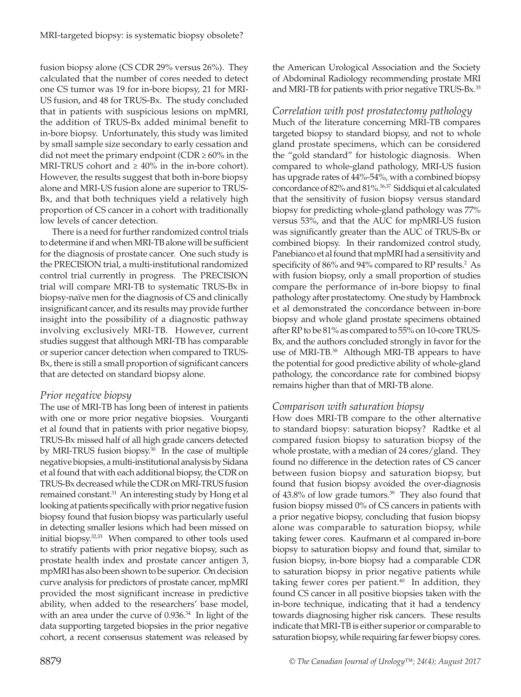fusion biopsy alone (CS CDR 29% versus 26%). They calculated that the number of cores needed to detect one CS tumor was 19 for in-bore biopsy, 21 for MRI-US fusion, and 48 for TRUS-Bx. The study concluded that in patients with suspicious lesions on mpMRI, the addition of TRUS-Bx added minimal benefit to in-bore biopsy. Unfortunately, this study was limited by small sample size secondary to early cessation and did not meet the primary endpoint (CDR  $\geq 60\%$  in the MRI-TRUS cohort and  $\geq 40\%$  in the in-bore cohort). However, the results suggest that both in-bore biopsy alone and MRI-US fusion alone are superior to TRUS-Bx, and that both techniques yield a relatively high proportion of CS cancer in a cohort with traditionally low levels of cancer detection.

There is a need for further randomized control trials to determine if and when MRI-TB alone will be sufficient for the diagnosis of prostate cancer. One such study is the PRECISION trial, a multi-institutional randomized control trial currently in progress. The PRECISION trial will compare MRI-TB to systematic TRUS-Bx in biopsy-naïve men for the diagnosis of CS and clinically insignificant cancer, and its results may provide further insight into the possibility of a diagnostic pathway involving exclusively MRI-TB. However, current studies suggest that although MRI-TB has comparable or superior cancer detection when compared to TRUS-Bx, there is still a small proportion of significant cancers that are detected on standard biopsy alone.

## *Prior negative biopsy*

The use of MRI-TB has long been of interest in patients with one or more prior negative biopsies. Vourganti et al found that in patients with prior negative biopsy, TRUS-Bx missed half of all high grade cancers detected by MRI-TRUS fusion biopsy.<sup>30</sup> In the case of multiple negative biopsies, a multi-institutional analysis by Sidana et al found that with each additional biopsy, the CDR on TRUS-Bx decreased while the CDR on MRI-TRUS fusion remained constant.<sup>31</sup> An interesting study by Hong et al looking at patients specifically with prior negative fusion biopsy found that fusion biopsy was particularly useful in detecting smaller lesions which had been missed on initial biopsy.32,33 When compared to other tools used to stratify patients with prior negative biopsy, such as prostate health index and prostate cancer antigen 3, mpMRI has also been shown to be superior. On decision curve analysis for predictors of prostate cancer, mpMRI provided the most significant increase in predictive ability, when added to the researchers' base model, with an area under the curve of 0.936.<sup>34</sup> In light of the data supporting targeted biopsies in the prior negative cohort, a recent consensus statement was released by

the American Urological Association and the Society of Abdominal Radiology recommending prostate MRI and MRI-TB for patients with prior negative TRUS-Bx.<sup>35</sup>

#### *Correlation with post prostatectomy pathology*

Much of the literature concerning MRI-TB compares targeted biopsy to standard biopsy, and not to whole gland prostate specimens, which can be considered the "gold standard" for histologic diagnosis. When compared to whole-gland pathology, MRI-US fusion has upgrade rates of 44%-54%, with a combined biopsy concordance of 82% and 81%.36,37 Siddiqui et al calculated that the sensitivity of fusion biopsy versus standard biopsy for predicting whole-gland pathology was 77% versus 53%, and that the AUC for mpMRI-US fusion was significantly greater than the AUC of TRUS-Bx or combined biopsy. In their randomized control study, Panebianco et al found that mpMRI had a sensitivity and specificity of 86% and 94% compared to RP results.<sup>2</sup> As with fusion biopsy, only a small proportion of studies compare the performance of in-bore biopsy to final pathology after prostatectomy. One study by Hambrock et al demonstrated the concordance between in-bore biopsy and whole gland prostate specimens obtained after RP to be 81% as compared to 55% on 10-core TRUS-Bx, and the authors concluded strongly in favor for the use of MRI-TB.<sup>38</sup> Although MRI-TB appears to have the potential for good predictive ability of whole-gland pathology, the concordance rate for combined biopsy remains higher than that of MRI-TB alone.

#### *Comparison with saturation biopsy*

How does MRI-TB compare to the other alternative to standard biopsy: saturation biopsy? Radtke et al compared fusion biopsy to saturation biopsy of the whole prostate, with a median of 24 cores/gland. They found no difference in the detection rates of CS cancer between fusion biopsy and saturation biopsy, but found that fusion biopsy avoided the over-diagnosis of 43.8% of low grade tumors.<sup>39</sup> They also found that fusion biopsy missed 0% of CS cancers in patients with a prior negative biopsy, concluding that fusion biopsy alone was comparable to saturation biopsy, while taking fewer cores. Kaufmann et al compared in-bore biopsy to saturation biopsy and found that, similar to fusion biopsy, in-bore biopsy had a comparable CDR to saturation biopsy in prior negative patients while taking fewer cores per patient. $40$  In addition, they found CS cancer in all positive biopsies taken with the in-bore technique, indicating that it had a tendency towards diagnosing higher risk cancers. These results indicate that MRI-TB is either superior or comparable to saturation biopsy, while requiring far fewer biopsy cores.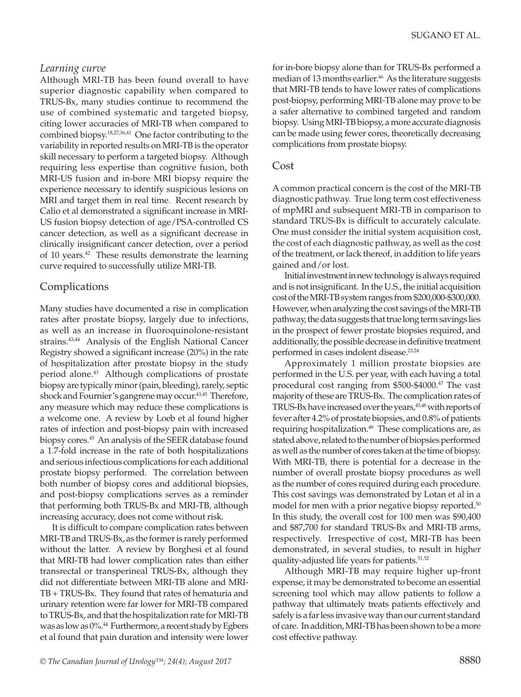#### Sugano ET AL.

#### *Learning curve*

Although MRI-TB has been found overall to have superior diagnostic capability when compared to TRUS-Bx, many studies continue to recommend the use of combined systematic and targeted biopsy, citing lower accuracies of MRI-TB when compared to combined biopsy.18,27,36,41 One factor contributing to the variability in reported results on MRI-TB is the operator skill necessary to perform a targeted biopsy. Although requiring less expertise than cognitive fusion, both MRI-US fusion and in-bore MRI biopsy require the experience necessary to identify suspicious lesions on MRI and target them in real time. Recent research by Calio et al demonstrated a significant increase in MRI-US fusion biopsy detection of age/PSA-controlled CS cancer detection, as well as a significant decrease in clinically insignificant cancer detection, over a period of 10 years.<sup>42</sup> These results demonstrate the learning curve required to successfully utilize MRI-TB.

#### Complications

Many studies have documented a rise in complication rates after prostate biopsy, largely due to infections, as well as an increase in fluoroquinolone-resistant strains.<sup>43,44</sup> Analysis of the English National Cancer Registry showed a significant increase (20%) in the rate of hospitalization after prostate biopsy in the study period alone.<sup>43</sup> Although complications of prostate biopsy are typically minor (pain, bleeding), rarely, septic shock and Fournier's gangrene may occur.<sup>43,45</sup> Therefore, any measure which may reduce these complications is a welcome one. A review by Loeb et al found higher rates of infection and post-biopsy pain with increased biopsy cores.<sup>45</sup> An analysis of the SEER database found a 1.7-fold increase in the rate of both hospitalizations and serious infectious complications for each additional prostate biopsy performed. The correlation between both number of biopsy cores and additional biopsies, and post-biopsy complications serves as a reminder that performing both TRUS-Bx and MRI-TB, although increasing accuracy, does not come without risk.

It is difficult to compare complication rates between MRI-TB and TRUS-Bx, as the former is rarely performed without the latter. A review by Borghesi et al found that MRI-TB had lower complication rates than either transrectal or transperineal TRUS-Bx, although they did not differentiate between MRI-TB alone and MRI-TB + TRUS-Bx. They found that rates of hematuria and urinary retention were far lower for MRI-TB compared to TRUS-Bx, and that the hospitalization rate for MRI-TB was as low as 0%.<sup>44</sup> Furthermore, a recent study by Egbers et al found that pain duration and intensity were lower for in-bore biopsy alone than for TRUS-Bx performed a median of 13 months earlier.<sup>46</sup> As the literature suggests that MRI-TB tends to have lower rates of complications post-biopsy, performing MRI-TB alone may prove to be a safer alternative to combined targeted and random biopsy. Using MRI-TB biopsy, a more accurate diagnosis can be made using fewer cores, theoretically decreasing complications from prostate biopsy.

#### Cost

A common practical concern is the cost of the MRI-TB diagnostic pathway. True long term cost effectiveness of mpMRI and subsequent MRI-TB in comparison to standard TRUS-Bx is difficult to accurately calculate. One must consider the initial system acquisition cost, the cost of each diagnostic pathway, as well as the cost of the treatment, or lack thereof, in addition to life years gained and/or lost.

Initial investment in new technology is always required and is not insignificant. In the U.S., the initial acquisition cost of the MRI-TB system ranges from \$200,000-\$300,000. However, when analyzing the cost savings of the MRI-TB pathway, the data suggests that true long term savings lies in the prospect of fewer prostate biopsies required, and additionally, the possible decrease in definitive treatment performed in cases indolent disease.<sup>23,24</sup>

Approximately 1 million prostate biopsies are performed in the U.S. per year, with each having a total procedural cost ranging from \$500-\$4000.<sup>47</sup> The vast majority of these are TRUS-Bx. The complication rates of TRUS-Bx have increased over the years,<sup>45,48</sup> with reports of fever after 4.2% of prostate biopsies, and 0.8% of patients requiring hospitalization.<sup>49</sup> These complications are, as stated above, related to the number of biopsies performed as well as the number of cores taken at the time of biopsy. With MRI-TB, there is potential for a decrease in the number of overall prostate biopsy procedures as well as the number of cores required during each procedure. This cost savings was demonstrated by Lotan et al in a model for men with a prior negative biopsy reported.<sup>50</sup> In this study, the overall cost for 100 men was \$90,400 and \$87,700 for standard TRUS-Bx and MRI-TB arms, respectively. Irrespective of cost, MRI-TB has been demonstrated, in several studies, to result in higher quality-adjusted life years for patients.<sup>51,52</sup>

Although MRI-TB may require higher up-front expense, it may be demonstrated to become an essential screening tool which may allow patients to follow a pathway that ultimately treats patients effectively and safely is a far less invasive way than our current standard of care. In addition, MRI-TB has been shown to be a more cost effective pathway.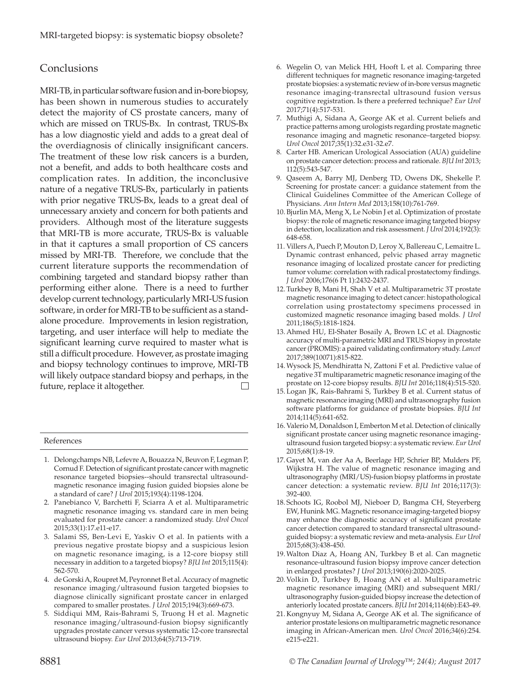## **Conclusions**

MRI-TB, in particular software fusion and in-bore biopsy, has been shown in numerous studies to accurately detect the majority of CS prostate cancers, many of which are missed on TRUS-Bx. In contrast, TRUS-Bx has a low diagnostic yield and adds to a great deal of the overdiagnosis of clinically insignificant cancers. The treatment of these low risk cancers is a burden, not a benefit, and adds to both healthcare costs and complication rates. In addition, the inconclusive nature of a negative TRUS-Bx, particularly in patients with prior negative TRUS-Bx, leads to a great deal of unnecessary anxiety and concern for both patients and providers. Although most of the literature suggests that MRI-TB is more accurate, TRUS-Bx is valuable in that it captures a small proportion of CS cancers missed by MRI-TB. Therefore, we conclude that the current literature supports the recommendation of combining targeted and standard biopsy rather than performing either alone. There is a need to further develop current technology, particularly MRI-US fusion software, in order for MRI-TB to be sufficient as a standalone procedure. Improvements in lesion registration, targeting, and user interface will help to mediate the significant learning curve required to master what is still a difficult procedure. However, as prostate imaging and biopsy technology continues to improve, MRI-TB will likely outpace standard biopsy and perhaps, in the future, replace it altogether.  $\Box$ 

#### References

- 1. Delongchamps NB, Lefevre A, Bouazza N, Beuvon F, Legman P, Cornud F. Detection of significant prostate cancer with magnetic resonance targeted biopsies--should transrectal ultrasoundmagnetic resonance imaging fusion guided biopsies alone be a standard of care? *J Urol* 2015;193(4):1198-1204.
- 2. Panebianco V, Barchetti F, Sciarra A et al. Multiparametric magnetic resonance imaging vs. standard care in men being evaluated for prostate cancer: a randomized study. *Urol Oncol* 2015;33(1):17.e11-e17.
- 3. Salami SS, Ben-Levi E, Yaskiv O et al. In patients with a previous negative prostate biopsy and a suspicious lesion on magnetic resonance imaging, is a 12-core biopsy still necessary in addition to a targeted biopsy? *BJU Int* 2015;115(4): 562-570.
- 4. de Gorski A, Roupret M, Peyronnet B et al. Accuracy of magnetic resonance imaging/ultrasound fusion targeted biopsies to diagnose clinically significant prostate cancer in enlarged compared to smaller prostates. *J Urol* 2015;194(3):669-673.
- 5. Siddiqui MM, Rais-Bahrami S, Truong H et al. Magnetic resonance imaging/ultrasound-fusion biopsy significantly upgrades prostate cancer versus systematic 12-core transrectal ultrasound biopsy. *Eur Urol* 2013;64(5):713-719.

8881

- 6. Wegelin O, van Melick HH, Hooft L et al. Comparing three different techniques for magnetic resonance imaging-targeted prostate biopsies: a systematic review of in-bore versus magnetic resonance imaging-transrectal ultrasound fusion versus cognitive registration. Is there a preferred technique? *Eur Urol*  2017;71(4):517-531.
- 7. Muthigi A, Sidana A, George AK et al. Current beliefs and practice patterns among urologists regarding prostate magnetic resonance imaging and magnetic resonance–targeted biopsy. *Urol Oncol* 2017;35(1):32.e31-32.e7.
- 8. Carter HB. American Urological Association (AUA) guideline on prostate cancer detection: process and rationale. *BJU Int* 2013; 112(5):543-547.
- 9. Qaseem A, Barry MJ, Denberg TD, Owens DK, Shekelle P. Screening for prostate cancer: a guidance statement from the Clinical Guidelines Committee of the American College of Physicians. *Ann Intern Med* 2013;158(10):761-769.
- 10. Bjurlin MA, Meng X, Le Nobin J et al. Optimization of prostate biopsy: the role of magnetic resonance imaging targeted biopsy in detection, localization and risk assessment. *J Urol* 2014;192(3): 648-658.
- 11. Villers A, Puech P, Mouton D, Leroy X, Ballereau C, Lemaitre L. Dynamic contrast enhanced, pelvic phased array magnetic resonance imaging of localized prostate cancer for predicting tumor volume: correlation with radical prostatectomy findings. *J Urol* 2006;176(6 Pt 1):2432-2437.
- 12. Turkbey B, Mani H, Shah V et al. Multiparametric 3T prostate magnetic resonance imaging to detect cancer: histopathological correlation using prostatectomy specimens processed in customized magnetic resonance imaging based molds. *J Urol*  2011;186(5):1818-1824.
- 13. Ahmed HU, El-Shater Bosaily A, Brown LC et al. Diagnostic accuracy of multi-parametric MRI and TRUS biopsy in prostate cancer (PROMIS): a paired validating confirmatory study. *Lancet* 2017;389(10071):815-822.
- 14.Wysock JS, Mendhiratta N, Zattoni F et al. Predictive value of negative 3T multiparametric magnetic resonance imaging of the prostate on 12-core biopsy results. *BJU Int* 2016;118(4):515-520.
- 15. Logan JK, Rais-Bahrami S, Turkbey B et al. Current status of magnetic resonance imaging (MRI) and ultrasonography fusion software platforms for guidance of prostate biopsies. *BJU Int*  2014;114(5):641-652.
- 16. Valerio M, Donaldson I, Emberton M et al. Detection of clinically significant prostate cancer using magnetic resonance imagingultrasound fusion targeted biopsy: a systematic review. *Eur Urol*  2015;68(1):8-19.
- 17. Gayet M, van der Aa A, Beerlage HP, Schrier BP, Mulders PF, Wijkstra H. The value of magnetic resonance imaging and ultrasonography (MRI/US)-fusion biopsy platforms in prostate cancer detection: a systematic review. *BJU Int* 2016;117(3): 392-400.
- 18. Schoots IG, Roobol MJ, Nieboer D, Bangma CH, Steyerberg EW, Hunink MG. Magnetic resonance imaging-targeted biopsy may enhance the diagnostic accuracy of significant prostate cancer detection compared to standard transrectal ultrasoundguided biopsy: a systematic review and meta-analysis. *Eur Urol* 2015;68(3):438-450.
- 19.Walton Diaz A, Hoang AN, Turkbey B et al. Can magnetic resonance-ultrasound fusion biopsy improve cancer detection in enlarged prostates? *J Urol* 2013;190(6):2020-2025.
- 20. Volkin D, Turkbey B, Hoang AN et al. Multiparametric magnetic resonance imaging (MRI) and subsequent MRI/ ultrasonography fusion-guided biopsy increase the detection of anteriorly located prostate cancers. *BJU Int* 2014;114(6b):E43-49.
- 21. Kongnyuy M, Sidana A, George AK et al. The significance of anterior prostate lesions on multiparametric magnetic resonance imaging in African-American men. *Urol Oncol* 2016;34(6):254. e215-e221.